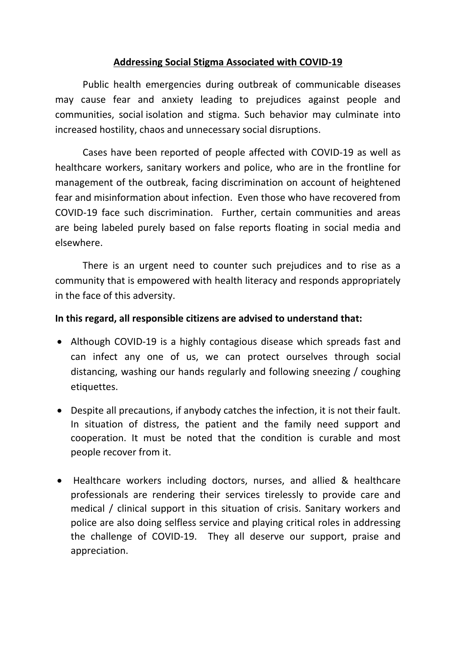# **Addressing Social Stigma Associated with COVID-19**

Public health emergencies during outbreak of communicable diseases may cause fear and anxiety leading to prejudices against people and communities, social isolation and stigma. Such behavior may culminate into increased hostility, chaos and unnecessary social disruptions.

Cases have been reported of people affected with COVID-19 as well as healthcare workers, sanitary workers and police, who are in the frontline for management of the outbreak, facing discrimination on account of heightened fear and misinformation about infection. Even those who have recovered from COVID-19 face such discrimination. Further, certain communities and areas are being labeled purely based on false reports floating in social media and elsewhere.

There is an urgent need to counter such prejudices and to rise as a community that is empowered with health literacy and responds appropriately in the face of this adversity.

### **In this regard, all responsible citizens are advised to understand that:**

- Although COVID-19 is a highly contagious disease which spreads fast and can infect any one of us, we can protect ourselves through social distancing, washing our hands regularly and following sneezing / coughing etiquettes.
- Despite all precautions, if anybody catches the infection, it is not their fault. In situation of distress, the patient and the family need support and cooperation. It must be noted that the condition is curable and most people recover from it.
- Healthcare workers including doctors, nurses, and allied & healthcare professionals are rendering their services tirelessly to provide care and medical / clinical support in this situation of crisis. Sanitary workers and police are also doing selfless service and playing critical roles in addressing the challenge of COVID-19. They all deserve our support, praise and appreciation.